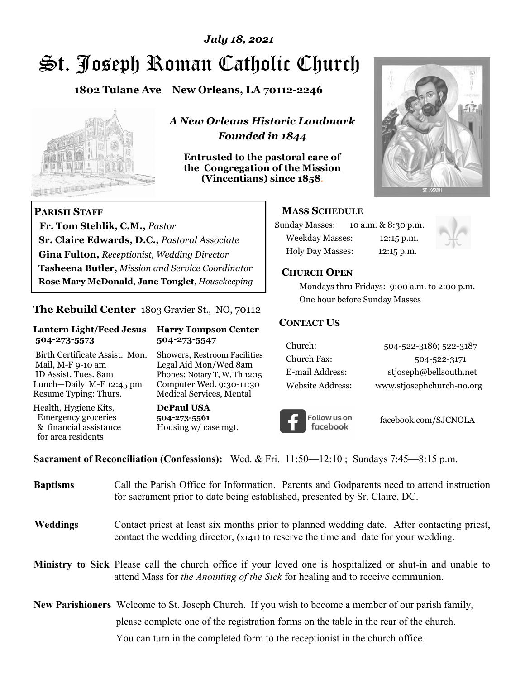# *July 18, 2021*

# St. Joseph Roman Catholic Church

**1802 Tulane Ave New Orleans, LA 70112-2246**



 **Fr. Tom Stehlik, C.M.,** *Pastor* 

**Sr. Claire Edwards, D.C.,** *Pastoral Associate* **Gina Fulton,** *Receptionist, Wedding Director* 

**Tasheena Butler,** *Mission and Service Coordinator* **Rose Mary McDonald**, **Jane Tonglet**, *Housekeeping*

**The Rebuild Center** 1803 Gravier St., NO, 70112

**Lantern Light/Feed Jesus Harry Tompson Center** 

Birth Certificate Assist. Mon. Showers, Restroom Facilities Mail, M-F 9-10 am Legal Aid Mon/Wed 8am ID Assist. Tues. 8am Phones; Notary T, W, Th 12:15 Lunch—Daily M-F 12:45 pm Computer Wed. 9:30-11:30 Resume Typing: Thurs. Medical Services, Mental

 **504-273-5573 504-273-5547** 

Health, Hygiene Kits, **DePaul USA**  Emergency groceries **504-273-5561**<br>& financial assistance **Housing w/** ca

**PARISH STAFF**

for area residents

*A New Orleans Historic Landmark Founded in 1844* 

**Entrusted to the pastoral care of the Congregation of the Mission (Vincentians) since 1858**.



#### **MASS SCHEDULE**

| <b>Sunday Masses:</b>  | 10 a.m. & 8:30 p.m. |
|------------------------|---------------------|
| <b>Weekday Masses:</b> | $12:15$ p.m.        |
| Holy Day Masses:       | 12:15 p.m.          |



#### **CHURCH OPEN**

 Mondays thru Fridays: 9:00 a.m. to 2:00 p.m. One hour before Sunday Masses

#### **CONTACT US**

| Church:          | 504-522-3186; 522-3187    |
|------------------|---------------------------|
| Church Fax:      | 504-522-3171              |
| E-mail Address:  | stjoseph@bellsouth.net    |
| Website Address: | www.stjosephchurch-no.org |



facebook.com/SJCNOLA

**Sacrament of Reconciliation (Confessions):** Wed. & Fri. 11:50—12:10 ; Sundays 7:45—8:15 p.m.

Housing w/ case mgt.

| <b>Baptisms</b> | Call the Parish Office for Information. Parents and Godparents need to attend instruction<br>for sacrament prior to date being established, presented by Sr. Claire, DC.                                   |
|-----------------|------------------------------------------------------------------------------------------------------------------------------------------------------------------------------------------------------------|
| <b>Weddings</b> | Contact priest at least six months prior to planned wedding date. After contacting priest,<br>contact the wedding director, (x141) to reserve the time and date for your wedding.                          |
|                 | <b>Ministry to Sick</b> Please call the church office if your loved one is hospitalized or shut-in and unable to<br>attend Mass for <i>the Anointing of the Sick</i> for healing and to receive communion. |
|                 | <b>New Parishioners</b> Welcome to St. Joseph Church. If you wish to become a member of our parish family,                                                                                                 |
|                 | please complete one of the registration forms on the table in the rear of the church.                                                                                                                      |
|                 | You can turn in the completed form to the reception is the church office.                                                                                                                                  |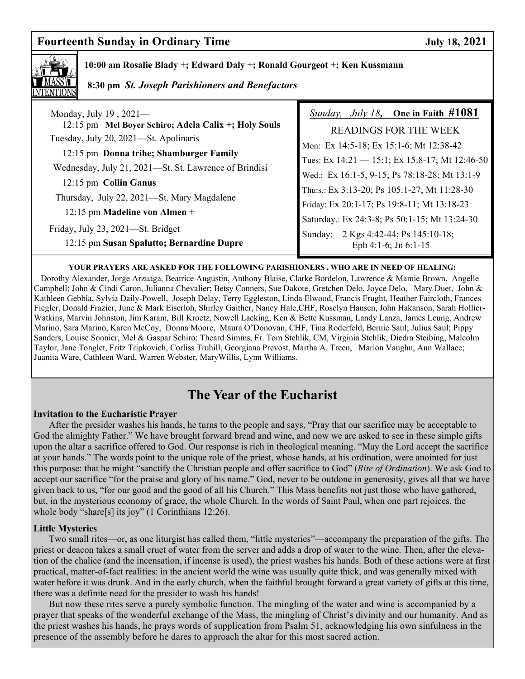## **Fourteenth Sunday in Ordinary Time Sunday 18, 2021**



#### **10:00 am Rosalie Blady +; Edward Daly +; Ronald Gourgeot +; Ken Kussmann**

 **8:30 pm** *St. Joseph Parishioners and Benefactors*

| Monday, July 19, 2021-                                                                                          | <i>Sunday, July 18</i> , One in Faith $\#1081$                       |
|-----------------------------------------------------------------------------------------------------------------|----------------------------------------------------------------------|
| 12:15 pm Mel Boyer Schiro; Adela Calix +; Holy Souls                                                            | <b>READINGS FOR THE WEEK</b>                                         |
| Tuesday, July 20, 2021-St. Apolinaris                                                                           | Mon: Ex 14:5-18; Ex 15:1-6; Mt 12:38-42                              |
| 12:15 pm Donna trihe; Shamburger Family                                                                         | Tues: Ex 14:21 - 15:1; Ex 15:8-17; Mt 12:46-50                       |
| Wednesday, July 21, 2021—St. St. Lawrence of Brindisi                                                           | Wed.: Ex 16:1-5, 9-15; Ps 78:18-28; Mt 13:1-9                        |
| 12:15 pm Collin Ganus                                                                                           |                                                                      |
| Thursday, July 22, 2021-St. Mary Magdalene                                                                      | Thu:s.: Ex 3:13-20; Ps 105:1-27; Mt 11:28-30                         |
| 12:15 pm Madeline von Almen +<br>Friday, July 23, 2021—St. Bridget<br>12:15 pm Susan Spalutto; Bernardine Dupre | Friday: Ex 20:1-17; Ps 19:8-11; Mt 13:18-23                          |
|                                                                                                                 | Saturday.: Ex 24:3-8; Ps 50:1-15; Mt 13:24-30                        |
|                                                                                                                 | 2 Kgs 4:42-44; Ps 145:10-18;<br>Sunday:<br>Eph $4:1-6$ ; Jn $6:1-15$ |

#### **YOUR PRAYERS ARE ASKED FOR THE FOLLOWING PARISHIONERS , WHO ARE IN NEED OF HEALING:**

 Dorothy Alexander, Jorge Arzuaga, Beatrice Augustin, Anthony Blaise, Clarke Bordelon, Lawrence & Mamie Brown, Angelle Campbell; John & Cindi Caron, Julianna Chevalier; Betsy Conners, Sue Dakote, Gretchen Delo, Joyce Delo, Mary Duet, John & Kathleen Gebbia, Sylvia Daily-Powell, Joseph Delay, Terry Eggleston, Linda Elwood, Francis Frught, Heather Faircloth, Frances Fiegler, Donald Frazier, June & Mark Eiserloh, Shirley Gaither, Nancy Hale,CHF, Roselyn Hansen, John Hakanson, Sarah Hollier-Watkins, Marvin Johnston, Jim Karam, Bill Kroetz, Nowell Lacking, Ken & Bette Kussman, Landy Lanza, James Leung, Andrew Marino, Sara Marino, Karen McCoy, Donna Moore, Maura O'Donovan, CHF, Tina Roderfeld, Bernie Saul; Julius Saul; Pippy Sanders, Louise Sonnier, Mel & Gaspar Schiro; Theard Simms, Fr. Tom Stehlik, CM, Virginia Stehlik, Diedra Steibing, Malcolm Taylor, Jane Tonglet, Fritz Tripkovich, Corliss Truhill, Georgiana Prevost, Martha A. Treen, Marion Vaughn, Ann Wallace; Juanita Ware, Cathleen Ward, Warren Webster, MaryWillis, Lynn Williams.

# **The Year of the Eucharist**

#### **Invitation to the Eucharistic Prayer**

After the presider washes his hands, he turns to the people and says, "Pray that our sacrifice may be acceptable to God the almighty Father." We have brought forward bread and wine, and now we are asked to see in these simple gifts upon the altar a sacrifice offered to God. Our response is rich in theological meaning. "May the Lord accept the sacrifice at your hands." The words point to the unique role of the priest, whose hands, at his ordination, were anointed for just this purpose: that he might "sanctify the Christian people and offer sacrifice to God" (*Rite of Ordination*). We ask God to accept our sacrifice "for the praise and glory of his name." God, never to be outdone in generosity, gives all that we have given back to us, "for our good and the good of all his Church." This Mass benefits not just those who have gathered, but, in the mysterious economy of grace, the whole Church. In the words of Saint Paul, when one part rejoices, the whole body "share[s] its joy" (1 Corinthians 12:26).

#### **Little Mysteries**

 Two small rites—or, as one liturgist has called them, "little mysteries"—accompany the preparation of the gifts. The priest or deacon takes a small cruet of water from the server and adds a drop of water to the wine. Then, after the elevation of the chalice (and the incensation, if incense is used), the priest washes his hands. Both of these actions were at first practical, matter-of-fact realities: in the ancient world the wine was usually quite thick, and was generally mixed with water before it was drunk. And in the early church, when the faithful brought forward a great variety of gifts at this time, there was a definite need for the presider to wash his hands!

 But now these rites serve a purely symbolic function. The mingling of the water and wine is accompanied by a prayer that speaks of the wonderful exchange of the Mass, the mingling of Christ's divinity and our humanity. And as the priest washes his hands, he prays words of supplication from Psalm 51, acknowledging his own sinfulness in the presence of the assembly before he dares to approach the altar for this most sacred action.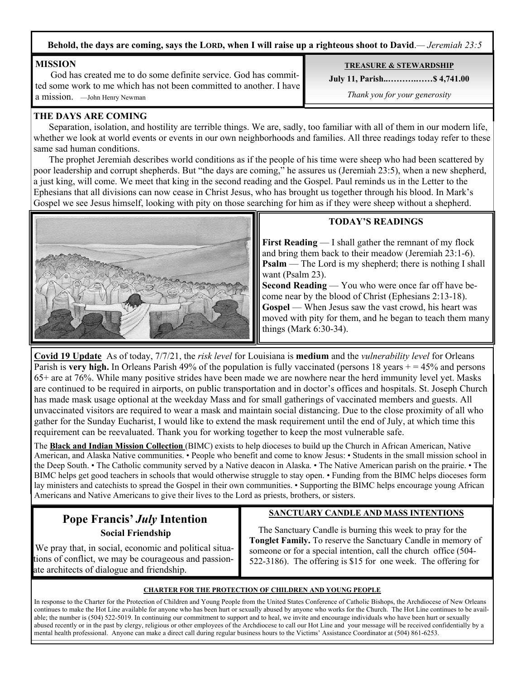**Behold, the days are coming, says the LORD, when I will raise up a righteous shoot to David**.*— Jeremiah 23:5*

#### **MISSION**

 God has created me to do some definite service. God has committed some work to me which has not been committed to another. I have a mission. —John Henry Newman

#### **TREASURE & STEWARDSHIP**

**July 11, Parish..……….……\$ 4,741.00** 

*Thank you for your generosity*

#### **THE DAYS ARE COMING**

 Separation, isolation, and hostility are terrible things. We are, sadly, too familiar with all of them in our modern life, whether we look at world events or events in our own neighborhoods and families. All three readings today refer to these same sad human conditions.

 The prophet Jeremiah describes world conditions as if the people of his time were sheep who had been scattered by poor leadership and corrupt shepherds. But "the days are coming," he assures us (Jeremiah 23:5), when a new shepherd, a just king, will come. We meet that king in the second reading and the Gospel. Paul reminds us in the Letter to the Ephesians that all divisions can now cease in Christ Jesus, who has brought us together through his blood. In Mark's Gospel we see Jesus himself, looking with pity on those searching for him as if they were sheep without a shepherd.



#### **TODAY'S READINGS**

**First Reading** — I shall gather the remnant of my flock and bring them back to their meadow (Jeremiah 23:1-6). **Psalm** — The Lord is my shepherd; there is nothing I shall want (Psalm 23).

**Second Reading** — You who were once far off have become near by the blood of Christ (Ephesians 2:13-18). **Gospel** — When Jesus saw the vast crowd, his heart was moved with pity for them, and he began to teach them many things (Mark 6:30-34).

**Covid 19 Update** As of today, 7/7/21, the *risk level* for Louisiana is **medium** and the *vulnerability level* for Orleans Parish is **very high.** In Orleans Parish 49% of the population is fully vaccinated (persons 18 years + = 45% and persons 65+ are at 76%. While many positive strides have been made we are nowhere near the herd immunity level yet. Masks are continued to be required in airports, on public transportation and in doctor's offices and hospitals. St. Joseph Church has made mask usage optional at the weekday Mass and for small gatherings of vaccinated members and guests. All unvaccinated visitors are required to wear a mask and maintain social distancing. Due to the close proximity of all who gather for the Sunday Eucharist, I would like to extend the mask requirement until the end of July, at which time this requirement can be reevaluated. Thank you for working together to keep the most vulnerable safe.

The **Black and Indian Mission Collection** (BIMC) exists to help dioceses to build up the Church in African American, Native American, and Alaska Native communities. • People who benefit and come to know Jesus: • Students in the small mission school in the Deep South. • The Catholic community served by a Native deacon in Alaska. • The Native American parish on the prairie. • The BIMC helps get good teachers in schools that would otherwise struggle to stay open. • Funding from the BIMC helps dioceses form lay ministers and catechists to spread the Gospel in their own communities. • Supporting the BIMC helps encourage young African Americans and Native Americans to give their lives to the Lord as priests, brothers, or sisters.

## **Pope Francis'** *July* **Intention Social Friendship**

 We pray that, in social, economic and political situations of conflict, we may be courageous and passionate architects of dialogue and friendship.

#### **SANCTUARY CANDLE AND MASS INTENTIONS**

 The Sanctuary Candle is burning this week to pray for the **Tonglet Family.** To reserve the Sanctuary Candle in memory of someone or for a special intention, call the church office (504- 522-3186). The offering is \$15 for one week. The offering for

#### **CHARTER FOR THE PROTECTION OF CHILDREN AND YOUNG PEOPLE**

In response to the Charter for the Protection of Children and Young People from the United States Conference of Catholic Bishops, the Archdiocese of New Orleans continues to make the Hot Line available for anyone who has been hurt or sexually abused by anyone who works for the Church. The Hot Line continues to be available; the number is (504) 522-5019. In continuing our commitment to support and to heal, we invite and encourage individuals who have been hurt or sexually abused recently or in the past by clergy, religious or other employees of the Archdiocese to call our Hot Line and your message will be received confidentially by a mental health professional. Anyone can make a direct call during regular business hours to the Victims' Assistance Coordinator at (504) 861-6253.